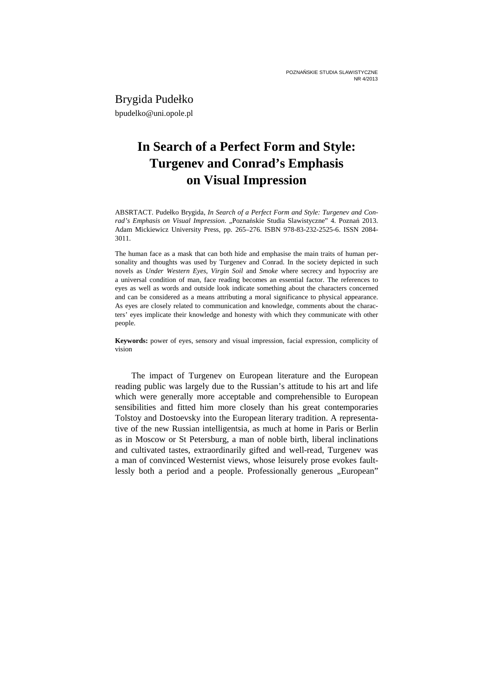Brygida Pudełko bpudelko@uni.opole.pl

## **In Search of a Perfect Form and Style: Turgenev and Conrad's Emphasis on Visual Impression**

ABSRTACT. Pudełko Brygida, *In Search of a Perfect Form and Style: Turgenev and Conrad's Emphasis on Visual Impression*. "Poznańskie Studia Slawistyczne" 4. Poznań 2013. Adam Mickiewicz University Press, pp. 265–276. ISBN 978-83-232-2525-6. ISSN 2084- 3011.

The human face as a mask that can both hide and emphasise the main traits of human personality and thoughts was used by Turgenev and Conrad. In the society depicted in such novels as *Under Western Eyes*, *Virgin Soil* and *Smoke* where secrecy and hypocrisy are a universal condition of man, face reading becomes an essential factor. The references to eyes as well as words and outside look indicate something about the characters concerned and can be considered as a means attributing a moral significance to physical appearance. As eyes are closely related to communication and knowledge, comments about the characters' eyes implicate their knowledge and honesty with which they communicate with other people.

**Keywords:** power of eyes, sensory and visual impression, facial expression, complicity of vision

The impact of Turgenev on European literature and the European reading public was largely due to the Russian's attitude to his art and life which were generally more acceptable and comprehensible to European sensibilities and fitted him more closely than his great contemporaries Tolstoy and Dostoevsky into the European literary tradition. A representative of the new Russian intelligentsia, as much at home in Paris or Berlin as in Moscow or St Petersburg, a man of noble birth, liberal inclinations and cultivated tastes, extraordinarily gifted and well-read, Turgenev was a man of convinced Westernist views, whose leisurely prose evokes faultlessly both a period and a people. Professionally generous "European"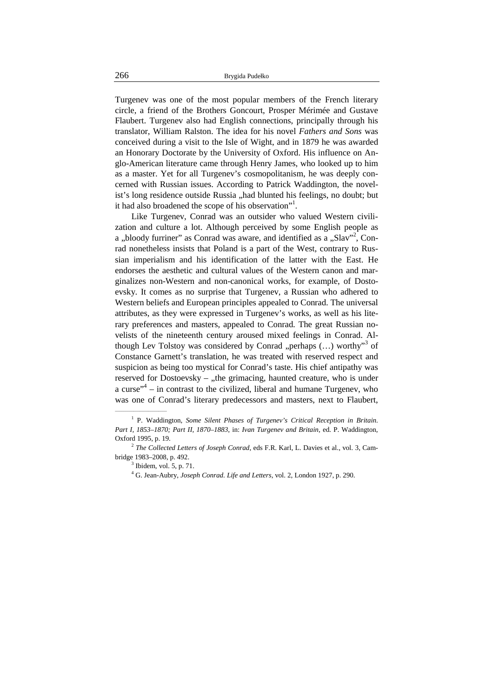Turgenev was one of the most popular members of the French literary circle, a friend of the Brothers Goncourt, Prosper Mérimée and Gustave Flaubert. Turgenev also had English connections, principally through his translator, William Ralston. The idea for his novel *Fathers and Sons* was conceived during a visit to the Isle of Wight, and in 1879 he was awarded an Honorary Doctorate by the University of Oxford. His influence on Anglo-American literature came through Henry James, who looked up to him as a master. Yet for all Turgenev's cosmopolitanism, he was deeply concerned with Russian issues. According to Patrick Waddington, the novelist's long residence outside Russia "had blunted his feelings, no doubt; but it had also broadened the scope of his observation"<sup>1</sup>.

Like Turgenev, Conrad was an outsider who valued Western civilization and culture a lot. Although perceived by some English people as a "bloody furriner" as Conrad was aware, and identified as a "Slav"<sup>2</sup>, Conrad nonetheless insists that Poland is a part of the West, contrary to Russian imperialism and his identification of the latter with the East. He endorses the aesthetic and cultural values of the Western canon and marginalizes non-Western and non-canonical works, for example, of Dostoevsky. It comes as no surprise that Turgenev, a Russian who adhered to Western beliefs and European principles appealed to Conrad. The universal attributes, as they were expressed in Turgenev's works, as well as his literary preferences and masters, appealed to Conrad. The great Russian novelists of the nineteenth century aroused mixed feelings in Conrad. Although Lev Tolstoy was considered by Conrad "perhaps  $(...)$  worthy"<sup>3</sup> of Constance Garnett's translation, he was treated with reserved respect and suspicion as being too mystical for Conrad's taste. His chief antipathy was reserved for Dostoevsky –  $\mu$ the grimacing, haunted creature, who is under a curse" $4$  – in contrast to the civilized, liberal and humane Turgenev, who was one of Conrad's literary predecessors and masters, next to Flaubert,

<sup>&</sup>lt;sup>1</sup> P. Waddington, *Some Silent Phases of Turgenev's Critical Reception in Britain. Part I, 1853–1870; Part II, 1870–1883*, in: *Ivan Turgenev and Britain*, ed. P. Waddington, Oxford 1995, p. 19.

<sup>2</sup> *The Collected Letters of Joseph Conrad*, eds F.R. Karl, L. Davies et al., vol. 3, Cambridge 1983–2008, p. 492.

 $3$  Ibidem, vol. 5, p. 71.

<sup>4</sup> G. Jean-Aubry, *Joseph Conrad. Life and Letters*, vol. 2, London 1927, p. 290.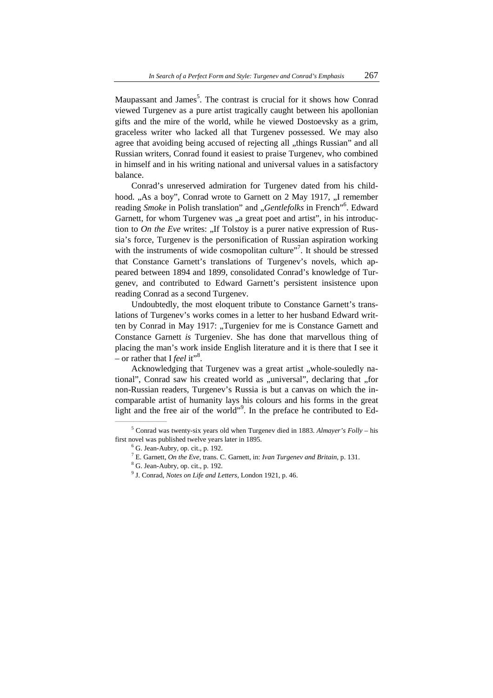Maupassant and James<sup>5</sup>. The contrast is crucial for it shows how Conrad viewed Turgenev as a pure artist tragically caught between his apollonian gifts and the mire of the world, while he viewed Dostoevsky as a grim, graceless writer who lacked all that Turgenev possessed. We may also agree that avoiding being accused of rejecting all "things Russian" and all Russian writers, Conrad found it easiest to praise Turgenev, who combined in himself and in his writing national and universal values in a satisfactory balance.

Conrad's unreserved admiration for Turgenev dated from his childhood. "As a boy", Conrad wrote to Garnett on 2 May 1917, "I remember reading Smoke in Polish translation" and "Gentlefolks in French"<sup>6</sup>. Edward Garnett, for whom Turgenev was "a great poet and artist", in his introduction to *On the Eve* writes: "If Tolstoy is a purer native expression of Russia's force, Turgenev is the personification of Russian aspiration working with the instruments of wide cosmopolitan culture". It should be stressed that Constance Garnett's translations of Turgenev's novels, which appeared between 1894 and 1899, consolidated Conrad's knowledge of Turgenev, and contributed to Edward Garnett's persistent insistence upon reading Conrad as a second Turgenev.

Undoubtedly, the most eloquent tribute to Constance Garnett's translations of Turgenev's works comes in a letter to her husband Edward written by Conrad in May 1917: "Turgeniev for me is Constance Garnett and Constance Garnett *is* Turgeniev. She has done that marvellous thing of placing the man's work inside English literature and it is there that I see it - or rather that I *feel* it"<sup>8</sup>.

Acknowledging that Turgenev was a great artist "whole-souledly national", Conrad saw his created world as "universal", declaring that "for non-Russian readers, Turgenev's Russia is but a canvas on which the incomparable artist of humanity lays his colours and his forms in the great light and the free air of the world". In the preface he contributed to Ed-

<sup>5</sup> Conrad was twenty-six years old when Turgenev died in 1883. *Almayer's Folly* – his first novel was published twelve years later in 1895.

 $6$  G. Jean-Aubry, op. cit., p. 192.

<sup>7</sup> E. Garnett, *On the Eve*, trans. C. Garnett, in: *Ivan Turgenev and Britain*, p. 131.

<sup>&</sup>lt;sup>8</sup> G. Jean-Aubry, op. cit., p. 192.

<sup>9</sup> J. Conrad, *Notes on Life and Letters*, London 1921, p. 46.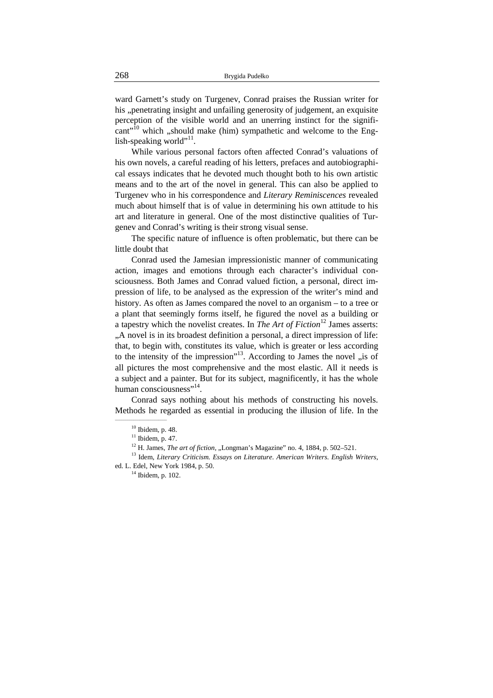ward Garnett's study on Turgenev, Conrad praises the Russian writer for his "penetrating insight and unfailing generosity of judgement, an exquisite perception of the visible world and an unerring instinct for the signifi- $\text{cant}^{\cdot 10}$  which ,, should make (him) sympathetic and welcome to the English-speaking world"<sup>11</sup>.

While various personal factors often affected Conrad's valuations of his own novels, a careful reading of his letters, prefaces and autobiographical essays indicates that he devoted much thought both to his own artistic means and to the art of the novel in general. This can also be applied to Turgenev who in his correspondence and *Literary Reminiscences* revealed much about himself that is of value in determining his own attitude to his art and literature in general. One of the most distinctive qualities of Turgenev and Conrad's writing is their strong visual sense.

The specific nature of influence is often problematic, but there can be little doubt that

Conrad used the Jamesian impressionistic manner of communicating action, images and emotions through each character's individual consciousness. Both James and Conrad valued fiction, a personal, direct impression of life, to be analysed as the expression of the writer's mind and history. As often as James compared the novel to an organism – to a tree or a plant that seemingly forms itself, he figured the novel as a building or a tapestry which the novelist creates. In *The Art of Fiction*<sup>12</sup> James asserts: "A novel is in its broadest definition a personal, a direct impression of life: that, to begin with, constitutes its value, which is greater or less according to the intensity of the impression"<sup>13</sup>. According to James the novel  $\pi$ , is of all pictures the most comprehensive and the most elastic. All it needs is a subject and a painter. But for its subject, magnificently, it has the whole human consciousness"<sup>14</sup>.

Conrad says nothing about his methods of constructing his novels. Methods he regarded as essential in producing the illusion of life. In the

\_\_\_\_\_\_\_\_\_\_\_\_\_\_\_\_\_\_\_\_\_\_\_\_\_

<sup>13</sup> Idem, *Literary Criticism. Essays on Literature. American Writers. English Writers*, ed. L. Edel, New York 1984, p. 50.

 $10$  Ibidem, p. 48.

 $11$  Ibidem, p. 47.

<sup>&</sup>lt;sup>12</sup> H. James, *The art of fiction*, "Longman's Magazine" no. 4, 1884, p. 502–521.

 $14$  Ibidem, p. 102.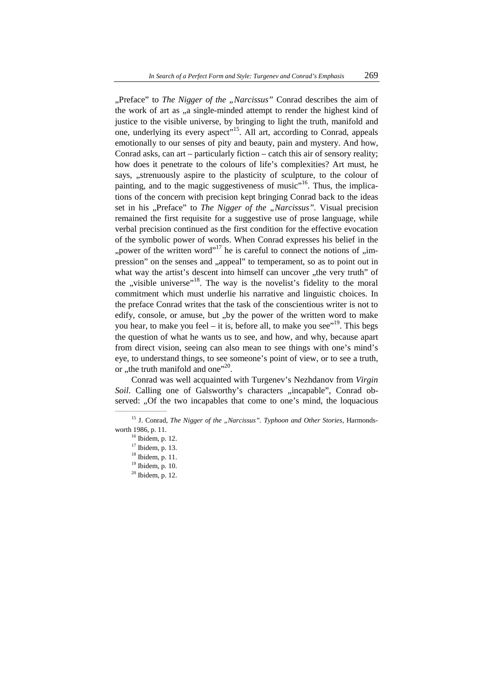"Preface" to *The Nigger of the "Narcissus"* Conrad describes the aim of the work of art as "a single-minded attempt to render the highest kind of justice to the visible universe, by bringing to light the truth, manifold and one, underlying its every aspect<sup>"15</sup>. All art, according to Conrad, appeals emotionally to our senses of pity and beauty, pain and mystery. And how, Conrad asks, can art – particularly fiction – catch this air of sensory reality; how does it penetrate to the colours of life's complexities? Art must, he says, "strenuously aspire to the plasticity of sculpture, to the colour of painting, and to the magic suggestiveness of music $16$ <sup>16</sup>. Thus, the implications of the concern with precision kept bringing Conrad back to the ideas set in his "Preface" to *The Nigger of the "Narcissus"*. Visual precision remained the first requisite for a suggestive use of prose language, while verbal precision continued as the first condition for the effective evocation of the symbolic power of words. When Conrad expresses his belief in the "power of the written word"<sup>17</sup> he is careful to connect the notions of "impression" on the senses and "appeal" to temperament, so as to point out in what way the artist's descent into himself can uncover "the very truth" of the  $n$ , visible universe"<sup>18</sup>. The way is the novelist's fidelity to the moral commitment which must underlie his narrative and linguistic choices. In the preface Conrad writes that the task of the conscientious writer is not to edify, console, or amuse, but "by the power of the written word to make you hear, to make you feel – it is, before all, to make you see"<sup>19</sup>. This begs the question of what he wants us to see, and how, and why, because apart from direct vision, seeing can also mean to see things with one's mind's eye, to understand things, to see someone's point of view, or to see a truth, or ,,the truth manifold and one"<sup>20</sup>.

Conrad was well acquainted with Turgenev's Nezhdanov from *Virgin Soil.* Calling one of Galsworthy's characters "incapable", Conrad observed: "Of the two incapables that come to one's mind, the loquacious

<sup>&</sup>lt;sup>15</sup> J. Conrad, *The Nigger of the "Narcissus". Typhoon and Other Stories*, Harmondsworth 1986, p. 11.

<sup>16</sup> Ibidem, p. 12.

<sup>&</sup>lt;sup>17</sup> Ibidem, p. 13.

 $18$  Ibidem, p. 11.

<sup>19</sup> Ibidem, p. 10.

 $20$  Ibidem, p. 12.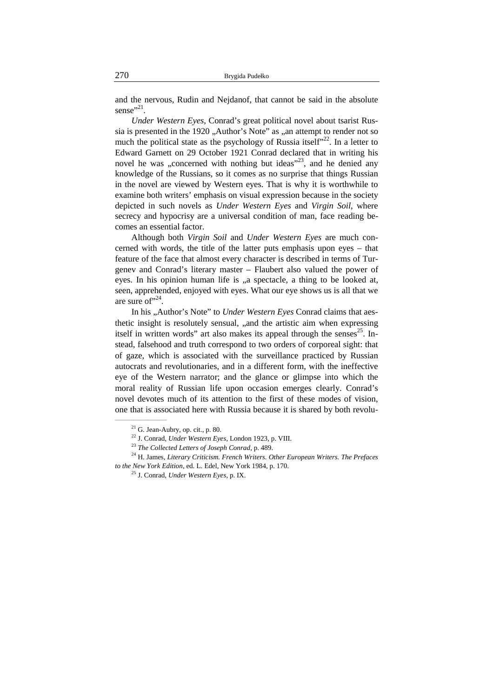and the nervous, Rudin and Nejdanof, that cannot be said in the absolute sense"<sup>21</sup>.

*Under Western Eyes*, Conrad's great political novel about tsarist Russia is presented in the 1920 "Author's Note" as "an attempt to render not so much the political state as the psychology of Russia itself<sup> $22$ </sup>. In a letter to Edward Garnett on 29 October 1921 Conrad declared that in writing his novel he was "concerned with nothing but ideas"<sup>23</sup>, and he denied any knowledge of the Russians, so it comes as no surprise that things Russian in the novel are viewed by Western eyes. That is why it is worthwhile to examine both writers' emphasis on visual expression because in the society depicted in such novels as *Under Western Eyes* and *Virgin Soil*, where secrecy and hypocrisy are a universal condition of man, face reading becomes an essential factor.

Although both *Virgin Soil* and *Under Western Eyes* are much concerned with words, the title of the latter puts emphasis upon eyes – that feature of the face that almost every character is described in terms of Turgenev and Conrad's literary master – Flaubert also valued the power of eyes. In his opinion human life is "a spectacle, a thing to be looked at, seen, apprehended, enjoyed with eyes. What our eye shows us is all that we are sure of  $124$ .

In his "Author's Note" to *Under Western Eyes* Conrad claims that aesthetic insight is resolutely sensual, "and the artistic aim when expressing itself in written words" art also makes its appeal through the senses<sup>25</sup>. Instead, falsehood and truth correspond to two orders of corporeal sight: that of gaze, which is associated with the surveillance practiced by Russian autocrats and revolutionaries, and in a different form, with the ineffective eye of the Western narrator; and the glance or glimpse into which the moral reality of Russian life upon occasion emerges clearly. Conrad's novel devotes much of its attention to the first of these modes of vision, one that is associated here with Russia because it is shared by both revolu-

 $21$  G. Jean-Aubry, op. cit., p. 80.

<sup>22</sup> J. Conrad, *Under Western Eyes*, London 1923, p. VIII.

<sup>23</sup> *The Collected Letters of Joseph Conrad*, p. 489.

<sup>24</sup> H. James, *Literary Criticism. French Writers. Other European Writers. The Prefaces to the New York Edition*, ed. L. Edel, New York 1984, p. 170.

<sup>25</sup> J. Conrad, *Under Western Eyes*, p. IX.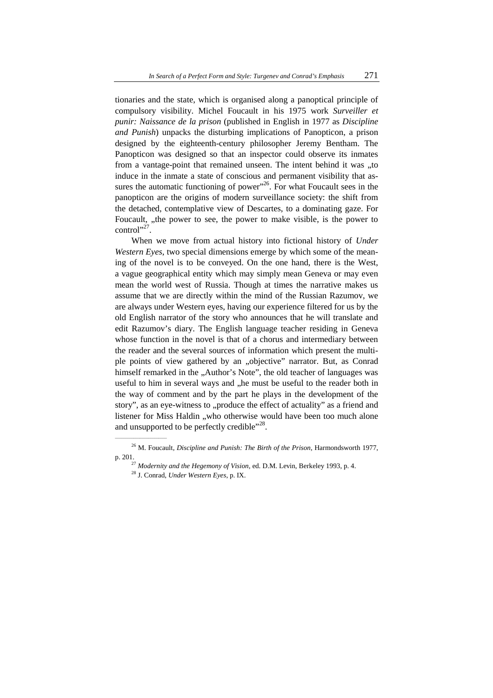tionaries and the state, which is organised along a panoptical principle of compulsory visibility. Michel Foucault in his 1975 work *Surveiller et punir: Naissance de la prison* (published in English in 1977 as *Discipline and Punish*) unpacks the disturbing implications of Panopticon, a prison designed by the eighteenth-century philosopher Jeremy Bentham. The Panopticon was designed so that an inspector could observe its inmates from a vantage-point that remained unseen. The intent behind it was "to induce in the inmate a state of conscious and permanent visibility that assures the automatic functioning of power"<sup>26</sup>. For what Foucault sees in the panopticon are the origins of modern surveillance society: the shift from the detached, contemplative view of Descartes, to a dominating gaze. For Foucault, "the power to see, the power to make visible, is the power to  $control$ <sup>27</sup>.

When we move from actual history into fictional history of *Under Western Eyes*, two special dimensions emerge by which some of the meaning of the novel is to be conveyed. On the one hand, there is the West, a vague geographical entity which may simply mean Geneva or may even mean the world west of Russia. Though at times the narrative makes us assume that we are directly within the mind of the Russian Razumov, we are always under Western eyes, having our experience filtered for us by the old English narrator of the story who announces that he will translate and edit Razumov's diary. The English language teacher residing in Geneva whose function in the novel is that of a chorus and intermediary between the reader and the several sources of information which present the multiple points of view gathered by an "objective" narrator. But, as Conrad himself remarked in the "Author's Note", the old teacher of languages was useful to him in several ways and "he must be useful to the reader both in the way of comment and by the part he plays in the development of the story", as an eye-witness to ..produce the effect of actuality" as a friend and listener for Miss Haldin "who otherwise would have been too much alone and unsupported to be perfectly credible"<sup>28</sup>.

<sup>26</sup> M. Foucault, *Discipline and Punish: The Birth of the Prison*, Harmondsworth 1977, p. 201.

<sup>27</sup> *Modernity and the Hegemony of Vision*, ed. D.M. Levin, Berkeley 1993, p. 4.

<sup>28</sup> J. Conrad, *Under Western Eyes*, p. IX.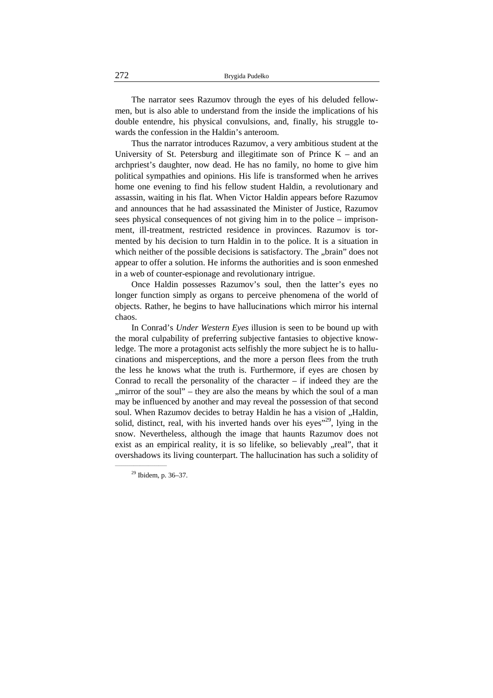The narrator sees Razumov through the eyes of his deluded fellowmen, but is also able to understand from the inside the implications of his double entendre, his physical convulsions, and, finally, his struggle towards the confession in the Haldin's anteroom.

Thus the narrator introduces Razumov, a very ambitious student at the University of St. Petersburg and illegitimate son of Prince  $K -$  and an archpriest's daughter, now dead. He has no family, no home to give him political sympathies and opinions. His life is transformed when he arrives home one evening to find his fellow student Haldin, a revolutionary and assassin, waiting in his flat. When Victor Haldin appears before Razumov and announces that he had assassinated the Minister of Justice, Razumov sees physical consequences of not giving him in to the police – imprisonment, ill-treatment, restricted residence in provinces. Razumov is tormented by his decision to turn Haldin in to the police. It is a situation in which neither of the possible decisions is satisfactory. The "brain" does not appear to offer a solution. He informs the authorities and is soon enmeshed in a web of counter-espionage and revolutionary intrigue.

Once Haldin possesses Razumov's soul, then the latter's eyes no longer function simply as organs to perceive phenomena of the world of objects. Rather, he begins to have hallucinations which mirror his internal chaos.

In Conrad's *Under Western Eyes* illusion is seen to be bound up with the moral culpability of preferring subjective fantasies to objective knowledge. The more a protagonist acts selfishly the more subject he is to hallucinations and misperceptions, and the more a person flees from the truth the less he knows what the truth is. Furthermore, if eyes are chosen by Conrad to recall the personality of the character  $-$  if indeed they are the ", mirror of the soul" – they are also the means by which the soul of a man may be influenced by another and may reveal the possession of that second soul. When Razumov decides to betray Haldin he has a vision of "Haldin, solid, distinct, real, with his inverted hands over his eyes<sup> $29$ </sup>, lying in the snow. Nevertheless, although the image that haunts Razumov does not exist as an empirical reality, it is so lifelike, so believably , real", that it overshadows its living counterpart. The hallucination has such a solidity of

<sup>29</sup> Ibidem, p. 36–37.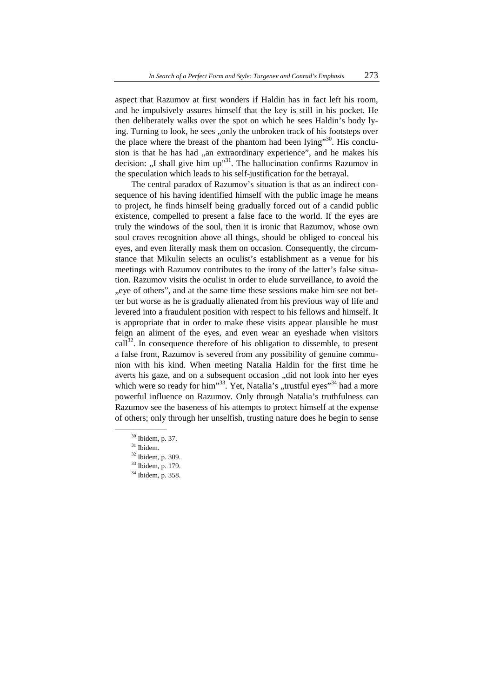aspect that Razumov at first wonders if Haldin has in fact left his room, and he impulsively assures himself that the key is still in his pocket. He then deliberately walks over the spot on which he sees Haldin's body lying. Turning to look, he sees "only the unbroken track of his footsteps over the place where the breast of the phantom had been lying"<sup>30</sup>. His conclusion is that he has had "an extraordinary experience", and he makes his decision: "I shall give him up"<sup>31</sup>. The hallucination confirms Razumov in the speculation which leads to his self-justification for the betrayal.

The central paradox of Razumov's situation is that as an indirect consequence of his having identified himself with the public image he means to project, he finds himself being gradually forced out of a candid public existence, compelled to present a false face to the world. If the eyes are truly the windows of the soul, then it is ironic that Razumov, whose own soul craves recognition above all things, should be obliged to conceal his eyes, and even literally mask them on occasion. Consequently, the circumstance that Mikulin selects an oculist's establishment as a venue for his meetings with Razumov contributes to the irony of the latter's false situation. Razumov visits the oculist in order to elude surveillance, to avoid the "eye of others", and at the same time these sessions make him see not better but worse as he is gradually alienated from his previous way of life and levered into a fraudulent position with respect to his fellows and himself. It is appropriate that in order to make these visits appear plausible he must feign an aliment of the eyes, and even wear an eyeshade when visitors  $call<sup>32</sup>$ . In consequence therefore of his obligation to dissemble, to present a false front, Razumov is severed from any possibility of genuine communion with his kind. When meeting Natalia Haldin for the first time he averts his gaze, and on a subsequent occasion "did not look into her eyes which were so ready for him"<sup>33</sup>. Yet, Natalia's "trustful eyes"<sup>34</sup> had a more powerful influence on Razumov. Only through Natalia's truthfulness can Razumov see the baseness of his attempts to protect himself at the expense of others; only through her unselfish, trusting nature does he begin to sense

<sup>31</sup> Ibidem.

<sup>30</sup> Ibidem, p. 37.

 $32$  Ibidem, p. 309.

<sup>33</sup> Ibidem, p. 179.

<sup>34</sup> Ibidem, p. 358.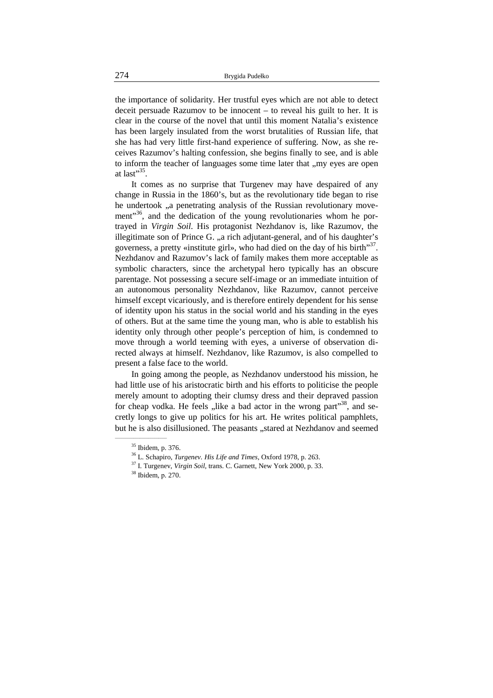the importance of solidarity. Her trustful eyes which are not able to detect deceit persuade Razumov to be innocent – to reveal his guilt to her. It is clear in the course of the novel that until this moment Natalia's existence has been largely insulated from the worst brutalities of Russian life, that she has had very little first-hand experience of suffering. Now, as she receives Razumov's halting confession, she begins finally to see, and is able to inform the teacher of languages some time later that ..my eyes are open at last" $35$ .

It comes as no surprise that Turgenev may have despaired of any change in Russia in the 1860's, but as the revolutionary tide began to rise he undertook "a penetrating analysis of the Russian revolutionary movement"<sup>36</sup>, and the dedication of the young revolutionaries whom he portrayed in *Virgin Soil*. His protagonist Nezhdanov is, like Razumov, the illegitimate son of Prince G. "a rich adjutant-general, and of his daughter's governess, a pretty «institute girl», who had died on the day of his birth $^{337}$ . Nezhdanov and Razumov's lack of family makes them more acceptable as symbolic characters, since the archetypal hero typically has an obscure parentage. Not possessing a secure self-image or an immediate intuition of an autonomous personality Nezhdanov, like Razumov, cannot perceive himself except vicariously, and is therefore entirely dependent for his sense of identity upon his status in the social world and his standing in the eyes of others. But at the same time the young man, who is able to establish his identity only through other people's perception of him, is condemned to move through a world teeming with eyes, a universe of observation directed always at himself. Nezhdanov, like Razumov, is also compelled to present a false face to the world.

In going among the people, as Nezhdanov understood his mission, he had little use of his aristocratic birth and his efforts to politicise the people merely amount to adopting their clumsy dress and their depraved passion for cheap vodka. He feels  $n$ like a bad actor in the wrong part<sup> $38$ </sup>, and secretly longs to give up politics for his art. He writes political pamphlets, but he is also disillusioned. The peasants ..stared at Nezhdanov and seemed

<sup>35</sup> Ibidem, p. 376.

<sup>36</sup> L. Schapiro, *Turgenev. His Life and Times*, Oxford 1978, p. 263.

<sup>37</sup> I. Turgenev, *Virgin Soil*, trans. C. Garnett, New York 2000, p. 33.

<sup>&</sup>lt;sup>38</sup> Ibidem, p. 270.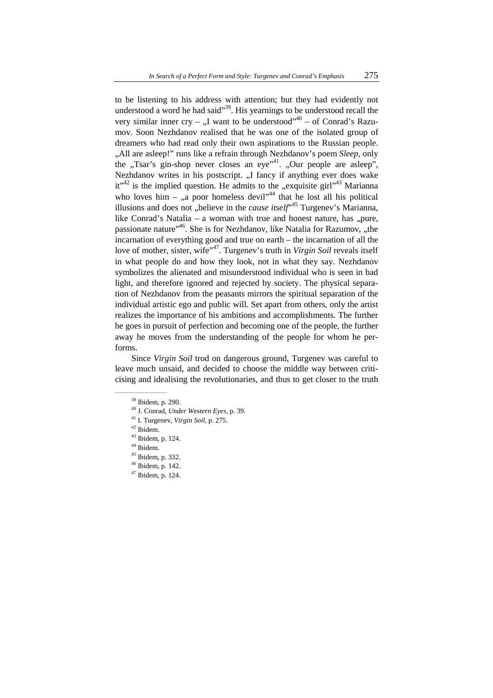to be listening to his address with attention; but they had evidently not understood a word he had said $\frac{39}{2}$ . His yearnings to be understood recall the very similar inner cry – ...I want to be understood"<sup>40</sup> – of Conrad's Razumov. Soon Nezhdanov realised that he was one of the isolated group of dreamers who had read only their own aspirations to the Russian people. "All are asleep!" runs like a refrain through Nezhdanov's poem *Sleep*, only the "Tsar's gin-shop never closes an eye"<sup>41</sup>. "Our people are asleep", Nezhdanov writes in his postscript. "I fancy if anything ever does wake it"<sup>42</sup> is the implied question. He admits to the "exquisite girl"<sup>43</sup> Marianna who loves him – "a poor homeless devil"<sup>44</sup> that he lost all his political illusions and does not "believe in the *cause itself*<sup>,45</sup> Turgenev's Marianna, like Conrad's Natalia – a woman with true and honest nature, has  $\phi$ , pure, passionate nature"<sup>46</sup>. She is for Nezhdanov, like Natalia for Razumov, "the incarnation of everything good and true on earth – the incarnation of all the love of mother, sister, wife<sup>"47</sup>. Turgenev's truth in *Virgin Soil* reveals itself in what people do and how they look, not in what they say. Nezhdanov symbolizes the alienated and misunderstood individual who is seen in bad light, and therefore ignored and rejected by society. The physical separation of Nezhdanov from the peasants mirrors the spiritual separation of the individual artistic ego and public will. Set apart from others, only the artist realizes the importance of his ambitions and accomplishments. The further he goes in pursuit of perfection and becoming one of the people, the further away he moves from the understanding of the people for whom he performs.

Since *Virgin Soil* trod on dangerous ground, Turgenev was careful to leave much unsaid, and decided to choose the middle way between criticising and idealising the revolutionaries, and thus to get closer to the truth

- <sup>41</sup> I. Turgenev, *Virgin Soil*, p. 275.
- <sup>42</sup> Ibidem.

- <sup>43</sup> Ibidem, p. 124.
- <sup>44</sup> Ibidem.
- $45$  Ibidem, p. 332.
- <sup>46</sup> Ibidem, p. 142.
- $47$  Ibidem, p. 124.

<sup>39</sup> Ibidem, p. 290.

<sup>40</sup> J. Conrad, *Under Western Eyes*, p. 39.